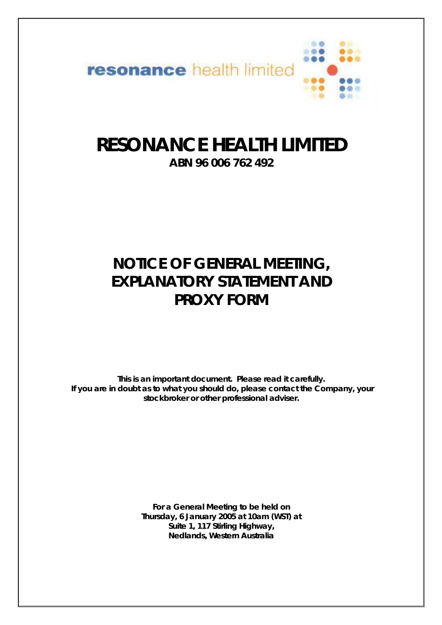

# **RESONANCE HEALTH LIMITED**

**ABN 96 006 762 492**

# **NOTICE OF GENERAL MEETING, EXPLANATORY STATEMENT AND PROXY FORM**

*This is an important document. Please read it carefully. If you are in doubt as to what you should do, please contact the Company, your stockbroker or other professional adviser.* 

> **For a General Meeting to be held on Thursday, 6 January 2005 at 10am (WST) at Suite 1, 117 Stirling Highway, Nedlands, Western Australia**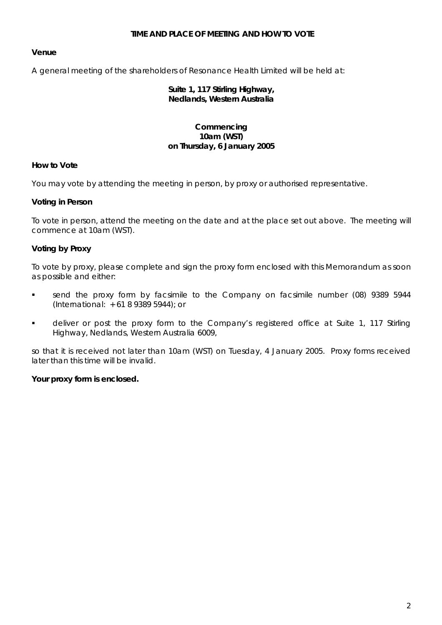#### **TIME AND PLACE OF MEETING AND HOW TO VOTE**

# **Venue**

A general meeting of the shareholders of Resonance Health Limited will be held at:

#### **Suite 1, 117 Stirling Highway, Nedlands, Western Australia**

#### **Commencing 10am (WST) on Thursday, 6 January 2005**

#### **How to Vote**

You may vote by attending the meeting in person, by proxy or authorised representative.

#### **Voting in Person**

To vote in person, attend the meeting on the date and at the place set out above. The meeting will commence at 10am (WST).

#### **Voting by Proxy**

To vote by proxy, please complete and sign the proxy form enclosed with this Memorandum as soon as possible and either:

- send the proxy form by facsimile to the Company on facsimile number (08) 9389 5944 (International: + 61 8 9389 5944); or
- **•** deliver or post the proxy form to the Company's registered office at Suite 1, 117 Stirling Highway, Nedlands, Western Australia 6009,

so that it is received not later than 10am (WST) on Tuesday, 4 January 2005. Proxy forms received later than this time will be invalid.

#### **Your proxy form is enclosed.**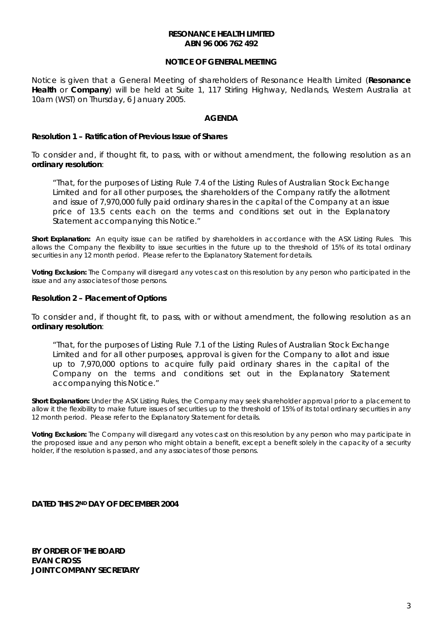#### **RESONANCE HEALTH LIMITED ABN 96 006 762 492**

# **NOTICE OF GENERAL MEETING**

Notice is given that a General Meeting of shareholders of Resonance Health Limited (**Resonance Health** or **Company**) will be held at Suite 1, 117 Stirling Highway, Nedlands, Western Australia at 10am (WST) on Thursday, 6 January 2005.

#### **AGENDA**

#### **Resolution 1 – Ratification of Previous Issue of Shares**

To consider and, if thought fit, to pass, with or without amendment, the following resolution as an **ordinary resolution**:

*"That, for the purposes of Listing Rule 7.4 of the Listing Rules of Australian Stock Exchange Limited and for all other purposes, the shareholders of the Company ratify the allotment and issue of 7,970,000 fully paid ordinary shares in the capital of the Company at an issue price of 13.5 cents each on the terms and conditions set out in the Explanatory Statement accompanying this Notice."* 

**Short Explanation:** An equity issue can be ratified by shareholders in accordance with the ASX Listing Rules. This allows the Company the flexibility to issue securities in the future up to the threshold of 15% of its total ordinary securities in any 12 month period. Please refer to the Explanatory Statement for details.

**Voting Exclusion:** The Company will disregard any votes cast on this resolution by any person who participated in the issue and any associates of those persons.

#### **Resolution 2 – Placement of Options**

To consider and, if thought fit, to pass, with or without amendment, the following resolution as an **ordinary resolution**:

*"That, for the purposes of Listing Rule 7.1 of the Listing Rules of Australian Stock Exchange Limited and for all other purposes, approval is given for the Company to allot and issue up to 7,970,000 options to acquire fully paid ordinary shares in the capital of the Company on the terms and conditions set out in the Explanatory Statement accompanying this Notice."* 

**Short Explanation:** Under the ASX Listing Rules, the Company may seek shareholder approval prior to a placement to allow it the flexibility to make future issues of securities up to the threshold of 15% of its total ordinary securities in any 12 month period. Please refer to the Explanatory Statement for details.

**Voting Exclusion:** The Company will disregard any votes cast on this resolution by any person who may participate in the proposed issue and any person who might obtain a benefit, except a benefit solely in the capacity of a security holder, if the resolution is passed, and any associates of those persons.

**DATED THIS 2ND DAY OF DECEMBER 2004** 

**BY ORDER OF THE BOARD EVAN CROSS JOINT COMPANY SECRETARY**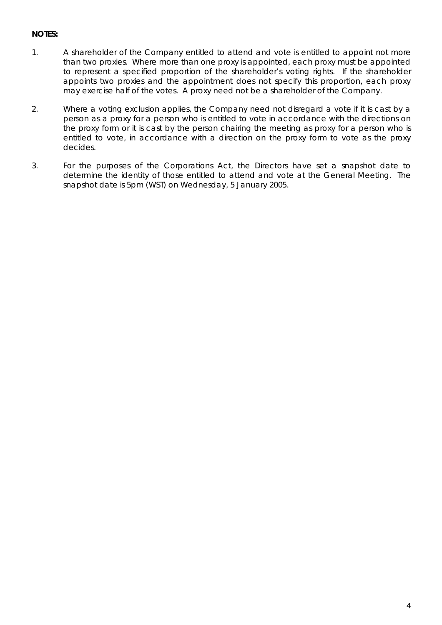# **NOTES:**

- 1. A shareholder of the Company entitled to attend and vote is entitled to appoint not more than two proxies. Where more than one proxy is appointed, each proxy must be appointed to represent a specified proportion of the shareholder's voting rights. If the shareholder appoints two proxies and the appointment does not specify this proportion, each proxy may exercise half of the votes. A proxy need not be a shareholder of the Company.
- 2. Where a voting exclusion applies, the Company need not disregard a vote if it is cast by a person as a proxy for a person who is entitled to vote in accordance with the directions on the proxy form or it is cast by the person chairing the meeting as proxy for a person who is entitled to vote, in accordance with a direction on the proxy form to vote as the proxy decides.
- 3. For the purposes of the Corporations Act, the Directors have set a snapshot date to determine the identity of those entitled to attend and vote at the General Meeting. The snapshot date is 5pm (WST) on Wednesday, 5 January 2005.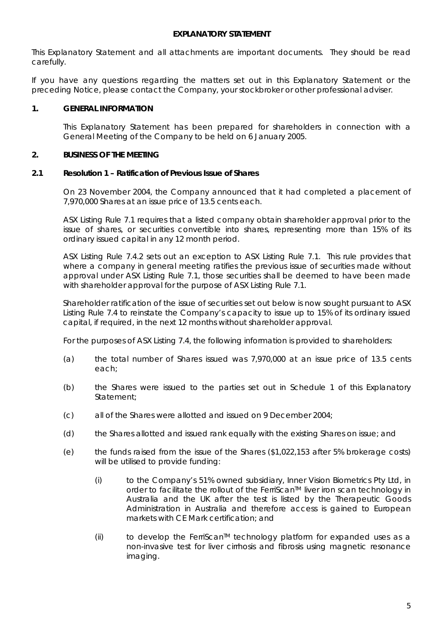#### **EXPLANATORY STATEMENT**

This Explanatory Statement and all attachments are important documents. They should be read carefully.

If you have any questions regarding the matters set out in this Explanatory Statement or the preceding Notice, please contact the Company, your stockbroker or other professional adviser.

#### **1. GENERAL INFORMATION**

This Explanatory Statement has been prepared for shareholders in connection with a General Meeting of the Company to be held on 6 January 2005.

#### **2. BUSINESS OF THE MEETING**

#### **2.1 Resolution 1 – Ratification of Previous Issue of Shares**

On 23 November 2004, the Company announced that it had completed a placement of 7,970,000 Shares at an issue price of 13.5 cents each.

ASX Listing Rule 7.1 requires that a listed company obtain shareholder approval prior to the issue of shares, or securities convertible into shares, representing more than 15% of its ordinary issued capital in any 12 month period.

ASX Listing Rule 7.4.2 sets out an exception to ASX Listing Rule 7.1. This rule provides that where a company in general meeting ratifies the previous issue of securities made without approval under ASX Listing Rule 7.1, those securities shall be deemed to have been made with shareholder approval for the purpose of ASX Listing Rule 7.1.

Shareholder ratification of the issue of securities set out below is now sought pursuant to ASX Listing Rule 7.4 to reinstate the Company's capacity to issue up to 15% of its ordinary issued capital, if required, in the next 12 months without shareholder approval.

For the purposes of ASX Listing 7.4, the following information is provided to shareholders:

- (a) the total number of Shares issued was 7,970,000 at an issue price of 13.5 cents each;
- (b) the Shares were issued to the parties set out in Schedule 1 of this Explanatory Statement;
- (c) all of the Shares were allotted and issued on 9 December 2004;
- (d) the Shares allotted and issued rank equally with the existing Shares on issue; and
- (e) the funds raised from the issue of the Shares (\$1,022,153 after 5% brokerage costs) will be utilised to provide funding:
	- (i) to the Company's 51% owned subsidiary, Inner Vision Biometrics Pty Ltd, in order to facilitate the rollout of the FerriScan<sup>TM</sup> liver iron scan technology in Australia and the UK after the test is listed by the Therapeutic Goods Administration in Australia and therefore access is gained to European markets with CE Mark certification; and
	- $(i)$  to develop the FerriScan<sup>TM</sup> technology platform for expanded uses as a non-invasive test for liver cirrhosis and fibrosis using magnetic resonance imaging.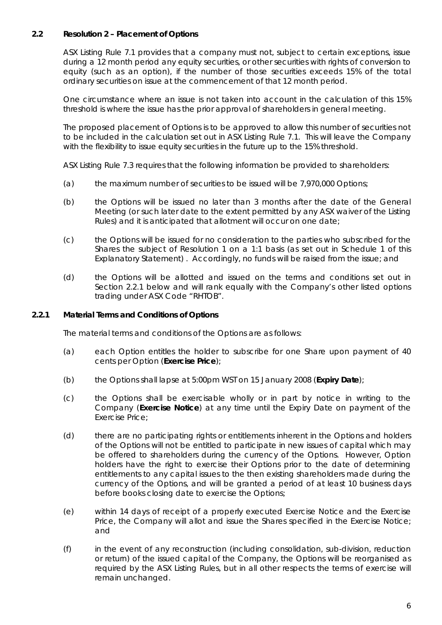# **2.2 Resolution 2 – Placement of Options**

ASX Listing Rule 7.1 provides that a company must not, subject to certain exceptions, issue during a 12 month period any equity securities, or other securities with rights of conversion to equity (such as an option), if the number of those securities exceeds 15% of the total ordinary securities on issue at the commencement of that 12 month period.

One circumstance where an issue is not taken into account in the calculation of this 15% threshold is where the issue has the prior approval of shareholders in general meeting.

The proposed placement of Options is to be approved to allow this number of securities not to be included in the calculation set out in ASX Listing Rule 7.1. This will leave the Company with the flexibility to issue equity securities in the future up to the 15% threshold.

ASX Listing Rule 7.3 requires that the following information be provided to shareholders:

- (a) the maximum number of securities to be issued will be 7,970,000 Options;
- (b) the Options will be issued no later than 3 months after the date of the General Meeting (or such later date to the extent permitted by any ASX waiver of the Listing Rules) and it is anticipated that allotment will occur on one date;
- (c) the Options will be issued for no consideration to the parties who subscribed for the Shares the subject of Resolution 1 on a 1:1 basis (as set out in Schedule 1 of this Explanatory Statement) . Accordingly, no funds will be raised from the issue; and
- (d) the Options will be allotted and issued on the terms and conditions set out in Section [2.2.1](#page-5-0) below and will rank equally with the Company's other listed options trading under ASX Code "RHTOB".

#### **2.2.1 Material Terms and Conditions of Options**

<span id="page-5-0"></span>The material terms and conditions of the Options are as follows:

- (a) each Option entitles the holder to subscribe for one Share upon payment of 40 cents per Option (**Exercise Price**);
- (b) the Options shall lapse at 5:00pm WST on 15 January 2008 (**Expiry Date**);
- (c) the Options shall be exercisable wholly or in part by notice in writing to the Company (**Exercise Notice**) at any time until the Expiry Date on payment of the Exercise Price;
- (d) there are no participating rights or entitlements inherent in the Options and holders of the Options will not be entitled to participate in new issues of capital which may be offered to shareholders during the currency of the Options. However, Option holders have the right to exercise their Options prior to the date of determining entitlements to any capital issues to the then existing shareholders made during the currency of the Options, and will be granted a period of at least 10 business days before books closing date to exercise the Options;
- (e) within 14 days of receipt of a properly executed Exercise Notice and the Exercise Price, the Company will allot and issue the Shares specified in the Exercise Notice; and
- (f) in the event of any reconstruction (including consolidation, sub-division, reduction or return) of the issued capital of the Company, the Options will be reorganised as required by the ASX Listing Rules, but in all other respects the terms of exercise will remain unchanged.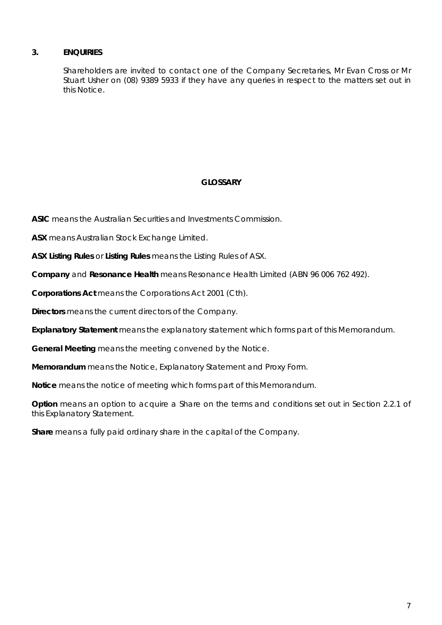# **3. ENQUIRIES**

Shareholders are invited to contact one of the Company Secretaries, Mr Evan Cross or Mr Stuart Usher on (08) 9389 5933 if they have any queries in respect to the matters set out in this Notice.

# **GLOSSARY**

**ASIC** means the Australian Securities and Investments Commission.

**ASX** means Australian Stock Exchange Limited.

**ASX Listing Rules** or **Listing Rules** means the Listing Rules of ASX.

**Company** and **Resonance Health** means Resonance Health Limited (ABN 96 006 762 492).

**Corporations Act** means the Corporations Act 2001 (Cth).

**Directors** means the current directors of the Company.

**Explanatory Statement** means the explanatory statement which forms part of this Memorandum.

**General Meeting** means the meeting convened by the Notice.

**Memorandum** means the Notice, Explanatory Statement and Proxy Form.

**Notice** means the notice of meeting which forms part of this Memorandum.

**Option** means an option to acquire a Share on the terms and conditions set out in Section [2.2.1](#page-5-0) of this Explanatory Statement.

**Share** means a fully paid ordinary share in the capital of the Company.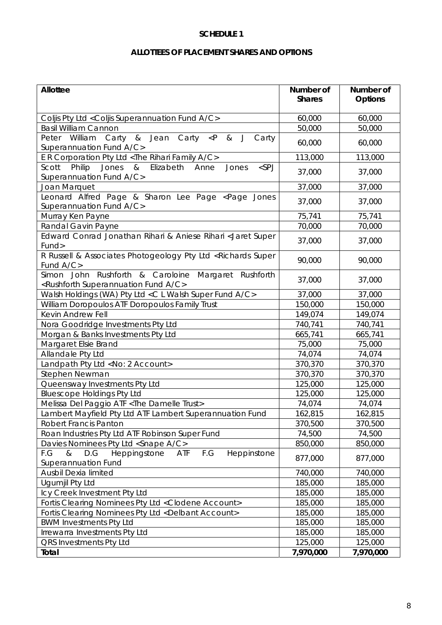#### **SCHEDULE 1**

# **ALLOTTEES OF PLACEMENT SHARES AND OPTIONS**

| Allottee                                                                                                           | Number of<br><b>Shares</b> | Number of<br><b>Options</b> |
|--------------------------------------------------------------------------------------------------------------------|----------------------------|-----------------------------|
| Coljis Pty Ltd < Coljis Superannuation Fund A/C>                                                                   | 60,000                     | 60,000                      |
| <b>Basil William Cannon</b>                                                                                        | 50,000                     | 50,000                      |
| Peter William Carty & Jean Carty<br>$\bigcup$<br>$\langle P \rangle$<br>8 <sub>k</sub><br>Carty                    |                            |                             |
| Superannuation Fund A/C>                                                                                           | 60,000                     | 60,000                      |
| E R Corporation Pty Ltd <the a="" c="" family="" rihari=""></the>                                                  | 113,000                    | 113,000                     |
| Scott Philip<br>$<$ SPJ<br>Jones & Elizabeth Anne<br>Jones<br>Superannuation Fund A/C>                             | 37,000                     | 37,000                      |
| Joan Marquet                                                                                                       | 37,000                     | 37,000                      |
| Leonard Alfred Page & Sharon Lee Page <page jones<br="">Superannuation Fund A/C&gt;</page>                         | 37,000                     | 37,000                      |
| Murray Ken Payne                                                                                                   | 75,741                     | 75,741                      |
| Randal Gavin Payne                                                                                                 | 70,000                     | 70,000                      |
| Edward Conrad Jonathan Rihari & Aniese Rihari < Jaret Super                                                        |                            |                             |
| Fund>                                                                                                              | 37,000                     | 37,000                      |
| R Russell & Associates Photogeology Pty Ltd <richards super<br="">Fund A/C&gt;</richards>                          | 90,000                     | 90,000                      |
| Simon John Rushforth & Caroloine Margaret Rushforth<br><rushforth a="" c="" fund="" superannuation=""></rushforth> | 37,000                     | 37,000                      |
| Walsh Holdings (WA) Pty Ltd < C L Walsh Super Fund A/C>                                                            | 37,000                     | 37,000                      |
| William Doropoulos ATF Doropoulos Family Trust                                                                     | 150,000                    | 150,000                     |
| Kevin Andrew Fell                                                                                                  | 149,074                    | 149,074                     |
| Nora Goodridge Investments Pty Ltd                                                                                 | 740,741                    | 740,741                     |
| Morgan & Banks Investments Pty Ltd                                                                                 | 665,741                    | 665,741                     |
| Margaret Elsie Brand                                                                                               | 75,000                     | 75,000                      |
| Allandale Pty Ltd                                                                                                  | 74,074                     | 74,074                      |
| Landpath Pty Ltd <no: 2="" account=""></no:>                                                                       | 370,370                    | 370,370                     |
| Stephen Newman                                                                                                     | 370,370                    | 370,370                     |
| Queensway Investments Pty Ltd                                                                                      | 125,000                    | 125,000                     |
| <b>Bluescope Holdings Pty Ltd</b>                                                                                  | 125,000                    | 125,000                     |
| Melissa Del Paggio ATF < The Damelle Trust>                                                                        | 74,074                     | 74,074                      |
| Lambert Mayfield Pty Ltd ATF Lambert Superannuation Fund                                                           | 162,815                    | 162,815                     |
| <b>Robert Francis Panton</b>                                                                                       | 370,500                    | 370,500                     |
| Roan Industries Pty Ltd ATF Robinson Super Fund                                                                    | 74,500                     | 74,500                      |
| Davies Nominees Pty Ltd <snape a="" c=""></snape>                                                                  | 850,000                    | 850,000                     |
| F.G<br>F.G<br>D.G<br>Heppingstone<br>Heppinstone<br>&<br>ATF<br>Superannuation Fund                                | 877,000                    | 877,000                     |
| Ausbil Dexia limited                                                                                               | 740,000                    | 740,000                     |
| Ugumjil Pty Ltd                                                                                                    | 185,000                    | 185,000                     |
| Icy Creek Investment Pty Ltd                                                                                       | 185,000                    | 185,000                     |
| Fortis Clearing Nominees Pty Ltd < Clodene Account>                                                                | 185,000                    | 185,000                     |
| Fortis Clearing Nominees Pty Ltd <delbant account=""></delbant>                                                    | 185,000                    | 185,000                     |
| <b>BWM Investments Pty Ltd</b>                                                                                     | 185,000                    | 185,000                     |
| Irrewarra Investments Pty Ltd                                                                                      | 185,000                    | 185,000                     |
| QRS Investments Pty Ltd                                                                                            | 125,000                    | 125,000                     |
| Total                                                                                                              | 7,970,000                  | 7,970,000                   |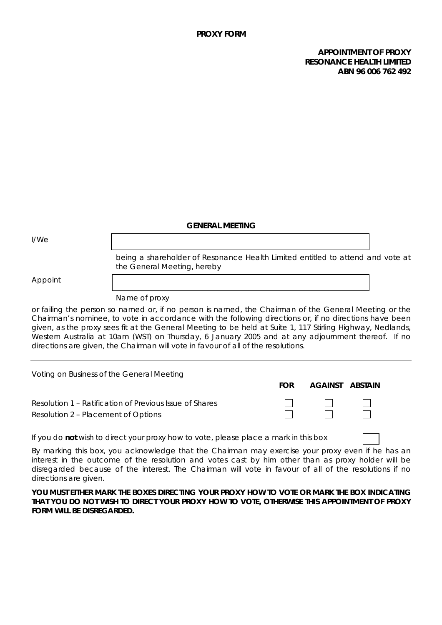#### **APPOINTMENT OF PROXY RESONANCE HEALTH LIMITED ABN 96 006 762 492**

#### **GENERAL MEETING**

I/We

being a shareholder of Resonance Health Limited entitled to attend and vote at the General Meeting, hereby

Appoint

Name of proxy

or failing the person so named or, if no person is named, the Chairman of the General Meeting or the Chairman's nominee, to vote in accordance with the following directions or, if no directions have been given, as the proxy sees fit at the General Meeting to be held at Suite 1, 117 Stirling Highway, Nedlands, Western Australia at 10am (WST) on Thursday, 6 January 2005 and at any adjournment thereof. If no directions are given, the Chairman will vote in favour of all of the resolutions.

| Voting on Business of the General Meeting                                                      |            |                |         |
|------------------------------------------------------------------------------------------------|------------|----------------|---------|
|                                                                                                | <b>FOR</b> | <b>AGAINST</b> | ABSTAIN |
| Resolution 1 – Ratification of Previous Issue of Shares<br>Resolution 2 – Placement of Options |            | $\perp$        |         |
| If you do not wish to direct your proxy how to vote, please place a mark in this box           |            |                |         |

By marking this box, you acknowledge that the Chairman may exercise your proxy even if he has an interest in the outcome of the resolution and votes cast by him other than as proxy holder will be disregarded because of the interest. The Chairman will vote in favour of all of the resolutions if no directions are given.

**YOU MUST EITHER MARK THE BOXES DIRECTING YOUR PROXY HOW TO VOTE OR MARK THE BOX INDICATING THAT YOU DO NOT WISH TO DIRECT YOUR PROXY HOW TO VOTE, OTHERWISE THIS APPOINTMENT OF PROXY FORM WILL BE DISREGARDED.**